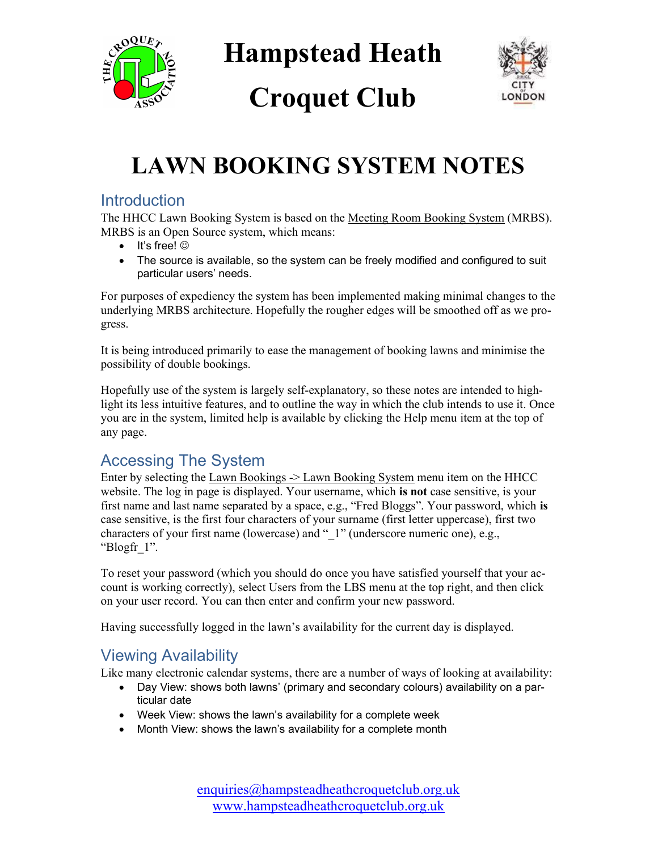

Hampstead Heath

# Croquet Club



## LAWN BOOKING SYSTEM NOTES

#### **Introduction**

The HHCC Lawn Booking System is based on the Meeting Room Booking System (MRBS). MRBS is an Open Source system, which means:

- $\bullet$  It's free!  $\odot$
- The source is available, so the system can be freely modified and configured to suit particular users' needs.

For purposes of expediency the system has been implemented making minimal changes to the underlying MRBS architecture. Hopefully the rougher edges will be smoothed off as we progress.

It is being introduced primarily to ease the management of booking lawns and minimise the possibility of double bookings.

Hopefully use of the system is largely self-explanatory, so these notes are intended to highlight its less intuitive features, and to outline the way in which the club intends to use it. Once you are in the system, limited help is available by clicking the Help menu item at the top of any page.

### Accessing The System

Enter by selecting the Lawn Bookings -> Lawn Booking System menu item on the HHCC website. The log in page is displayed. Your username, which is not case sensitive, is your first name and last name separated by a space, e.g., "Fred Bloggs". Your password, which is case sensitive, is the first four characters of your surname (first letter uppercase), first two characters of your first name (lowercase) and "1" (underscore numeric one), e.g., "Blogfr\_1".

To reset your password (which you should do once you have satisfied yourself that your account is working correctly), select Users from the LBS menu at the top right, and then click on your user record. You can then enter and confirm your new password.

Having successfully logged in the lawn's availability for the current day is displayed.

### Viewing Availability

Like many electronic calendar systems, there are a number of ways of looking at availability:

- Day View: shows both lawns' (primary and secondary colours) availability on a particular date
- Week View: shows the lawn's availability for a complete week
- Month View: shows the lawn's availability for a complete month